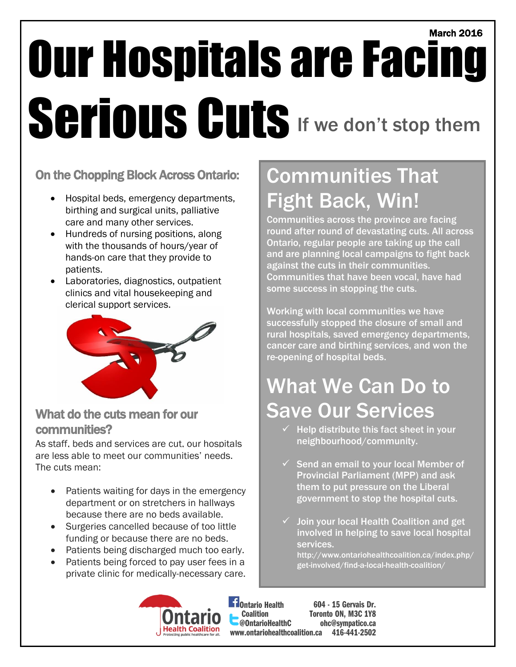## March 2016 Our Hospitals are Facing Serious Cuts If we don't stop them

#### On the Chopping Block Across Ontario:

- Hospital beds, emergency departments, birthing and surgical units, palliative care and many other services.
- Hundreds of nursing positions, along with the thousands of hours/year of hands-on care that they provide to patients.
- Laboratories, diagnostics, outpatient clinics and vital housekeeping and clerical support services.



#### What do the cuts mean for our communities?

As staff, beds and services are cut, our hospitals are less able to meet our communities' needs. The cuts mean:

- Patients waiting for days in the emergency department or on stretchers in hallways because there are no beds available.
- Surgeries cancelled because of too little funding or because there are no beds.
- Patients being discharged much too early.
- Patients being forced to pay user fees in a private clinic for medically-necessary care.

### Communities That Fight Back, Win!

Communities across the province are facing round after round of devastating cuts. All across Ontario, regular people are taking up the call and are planning local campaigns to fight back against the cuts in their communities. Communities that have been vocal, have had some success in stopping the cuts.

Working with local communities we have successfully stopped the closure of small and rural hospitals, saved emergency departments, cancer care and birthing services, and won the re-opening of hospital beds.

### What We Can Do to Save Our Services

- $\checkmark$  Help distribute this fact sheet in your neighbourhood/community.
- $\checkmark$  Send an email to your local Member of Provincial Parliament (MPP) and ask them to put pressure on the Liberal government to stop the hospital cuts.
- Join your local Health Coalition and get involved in helping to save local hospital services.
	- http://www.ontariohealthcoalition.ca/index.php/ get-involved/find-a-local-health-coalition/



**Eil**Ontario Health Coalition @OntarioHealthC www.ontariohealthcoalition.ca 416-441-2502604 - 15 Gervais Dr. Toronto ON, M3C 1Y8 ohc@sympatico.ca